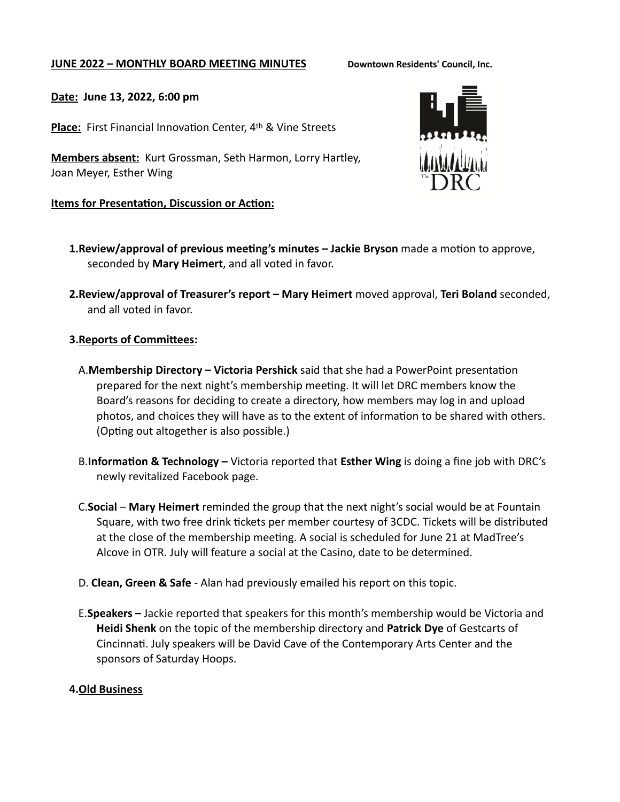### **JUNE 2022 - MONTHLY BOARD MEETING MINUTES** Downtown Residents' Council, Inc.

## **Date: June 13, 2022, 6:00 pm**

**Place:** First Financial Innovation Center, 4th & Vine Streets

**Members absent:** Kurt Grossman, Seth Harmon, Lorry Hartley, Joan Meyer, Esther Wing

### **Items for Presentation, Discussion or Action:**



- **1.Review/approval of previous meeting's minutes – Jackie Bryson** made a motion to approve, seconded by **Mary Heimert**, and all voted in favor.
- **2.Review/approval of Treasurer's report Mary Heimert** moved approval, **Teri Boland** seconded, and all voted in favor.

### **3.Reports of Committees:**

- A.**Membership Directory Victoria Pershick** said that she had a PowerPoint presentation prepared for the next night's membership meeting. It will let DRC members know the Board's reasons for deciding to create a directory, how members may log in and upload photos, and choices they will have as to the extent of information to be shared with others. (Opting out altogether is also possible.)
- B.**Information & Technology** Victoria reported that **Esther Wing** is doing a fine job with DRC's newly revitalized Facebook page.
- C.**Social Mary Heimert** reminded the group that the next night's social would be at Fountain Square, with two free drink tickets per member courtesy of 3CDC. Tickets will be distributed at the close of the membership meeting. A social is scheduled for June 21 at MadTree's Alcove in OTR. July will feature a social at the Casino, date to be determined.
- D. **Clean, Green & Safe** Alan had previously emailed his report on this topic.
- E.**Speakers** Jackie reported that speakers for this month's membership would be Victoria and **Heidi Shenk** on the topic of the membership directory and **Patrick Dye** of Gestcarts of Cincinnati. July speakers will be David Cave of the Contemporary Arts Center and the sponsors of Saturday Hoops.

## **4.Old Business**